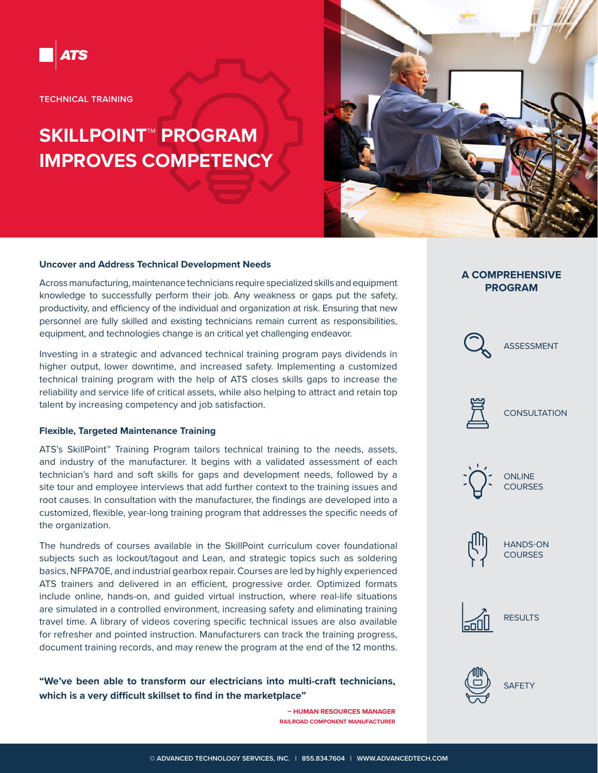

**TECHNICAL TRAINING**

# **SKILLPOINT™ PROGRAM IMPROVES COMPETENCY**



#### **Uncover and Address Technical Development Needs**

Across manufacturing, maintenance technicians require specialized skills and equipment knowledge to successfully perform their job. Any weakness or gaps put the safety, productivity, and efficiency of the individual and organization at risk. Ensuring that new personnel are fully skilled and existing technicians remain current as responsibilities, equipment, and technologies change is an critical yet challenging endeavor.

Investing in a strategic and advanced technical training program pays dividends in higher output, lower downtime, and increased safety. Implementing a customized technical training program with the help of ATS closes skills gaps to increase the reliability and service life of critical assets, while also helping to attract and retain top talent by increasing competency and job satisfaction.

#### **Flexible, Targeted Maintenance Training**

ATS's SkillPoint™ Training Program tailors technical training to the needs, assets, and industry of the manufacturer. It begins with a validated assessment of each technician's hard and soft skills for gaps and development needs, followed by a site tour and employee interviews that add further context to the training issues and root causes. In consultation with the manufacturer, the findings are developed into a customized, flexible, year-long training program that addresses the specific needs of the organization.

The hundreds of courses available in the SkillPoint curriculum cover foundational subjects such as lockout/tagout and Lean, and strategic topics such as soldering basics, NFPA70E, and industrial gearbox repair. Courses are led by highly experienced ATS trainers and delivered in an efficient, progressive order. Optimized formats include online, hands-on, and guided virtual instruction, where real-life situations are simulated in a controlled environment, increasing safety and eliminating training travel time. A library of videos covering specific technical issues are also available for refresher and pointed instruction. Manufacturers can track the training progress, document training records, and may renew the program at the end of the 12 months.

**"We've been able to transform our electricians into multi-craft technicians, which is a very difficult skillset to find in the marketplace"**

> **– HUMAN RESOURCES MANAGER RAILROAD COMPONENT MANUFACTURER**

### **A COMPREHENSIVE PROGRAM**











HANDS-ON **COURSES**